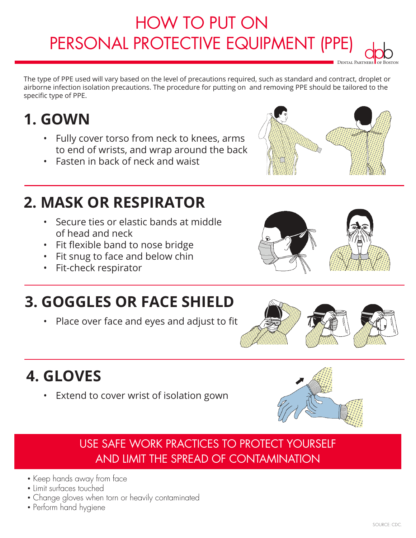### **IOW TO FUT ON<br>DOTECTIVE FOLUDLA PERSONAL PROTECTIVE EQUIPMENT (PPE)** HOW TO PUT ON PERSONAL PROTECTIVE EQUIPMENT (PPE) dpb<br>NES BOST

The type of PPE used will vary based on the level of precautions required, such as standard and contract, droplet or airborne infection isolation precautions. The procedure for putting on and removing PPE should be tailored to the specific type of PPE.

# **1. GOWN**

- Fully cover torso from neck to knees, arms to end of wrists, and wrap around the back
- Fasten in back of neck and waist



- Secure ties or elastic bands at middle of head and neck
- Fit flexible band to nose bridge
- Fit snug to face and below chin
- Fit-check respirator







Dental Partners of Boston

# **3. GOGGLES OR FACE SHIELD**

• Place over face and eyes and adjust to fit



# **4. GLOVES**

• Extend to cover wrist of isolation gown



## USE SAFE WORK PRACTICES TO PROTECT YOURSELF<br>AND UNIT THE SPPEAD OF CONTAAL IN LITION. **LIMIT THE SPREAD OF CONTAMINATION** AND LIMIT THE SPREAD OF CONTAMINATION

- Keep hands away from face
- $\bullet$  Limit surfaces touched
- Change gloves when torn or heavily contaminated
- Perform hand hygiene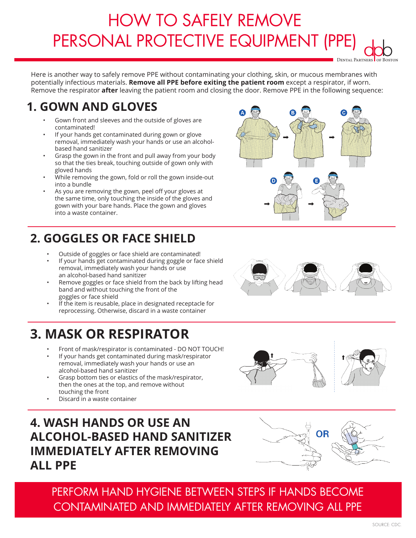### **HOW TO SAFETIVE FOLLIPMENT PERSONAL PROTECTIVE EQUIPMENT (PPE)**<br>Personal Protective Experiment (PPE) HOW TO SAFELY REMOVE PERSONAL PROTECTIVE EQUIPMENT (PPE) **FL**<br>DENTAL PARTNERS OF BOSTON

Here is another way to safely remove PPE without contaminating your clothing, skin, or mucous membranes with potentially infectious materials. **Remove all PPE before exiting the patient room** except a respirator, if worn. Remove the respirator **after** leaving the patient room and closing the door. Remove PPE in the following sequence:

## **1. GOWN AND GLOVES**

- Gown front and sleeves and the outside of gloves are contaminated!
- If your hands get contaminated during gown or glove removal, immediately wash your hands or use an alcoholbased hand sanitizer
- Grasp the gown in the front and pull away from your body so that the ties break, touching outside of gown only with gloved hands
- While removing the gown, fold or roll the gown inside-out into a bundle
- As you are removing the gown, peel off your gloves at the same time, only touching the inside of the gloves and gown with your bare hands. Place the gown and gloves into a waste container.

## **2. GOGGLES OR FACE SHIELD**

- Outside of goggles or face shield are contaminated!
- If your hands get contaminated during goggle or face shield removal, immediately wash your hands or use an alcohol-based hand sanitizer
- Remove goggles or face shield from the back by lifting head band and without touching the front of the goggles or face shield
- If the item is reusable, place in designated receptacle for reprocessing. Otherwise, discard in a waste container

## **3. MASK OR RESPIRATOR**

- Front of mask/respirator is contaminated DO NOT TOUCH!
- If your hands get contaminated during mask/respirator removal, immediately wash your hands or use an alcohol-based hand sanitizer
- Grasp bottom ties or elastics of the mask/respirator, then the ones at the top, and remove without touching the front
- Discard in a waste container

Source: Company of the Company of the Company of the Company of the Company of the Company of the Company of the Co<br>Source: Company of the Company of the Company of the Company of the Company of the Company of the Company

### **4. WASH HANDS OR USE AN ALCOHOL-BASED HAND SANITIZER IMMEDIATELY AFTER REMOVING ALL PPE**









OR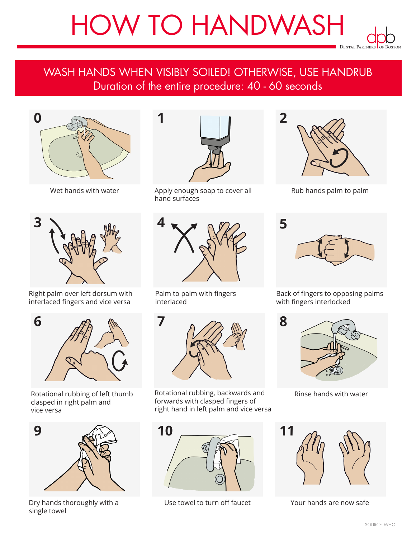# HOW TO HANDWASH **DENTAL PARTNERS OF BOST**

#### WASH HANDS WHEN VISIBLY SOILLED! OTHERWISE, OUL HANDROP **Duration of the entire procedure: 40 - 60 seconds** WASH HANDS WHEN VISIBLY SOILED! OTHERWISE, USE HANDRUB Duration of the entire procedure: 40 - 60 seconds





Right palm over left dorsum with interlaced fingers and vice versa



Rotational rubbing of left thumb clasped in right palm and vice versa



Dry hands thoroughly with a single towel



Wet hands with water **Apply enough soap to cover all** hand surfaces



Palm to palm with fingers interlaced



Rotational rubbing, backwards and forwards with clasped fingers of right hand in left palm and vice versa



Use towel to turn off faucet Your hands are now safe



Dental Partners

Rub hands palm to palm



Back of fingers to opposing palms with fingers interlocked



Rinse hands with water



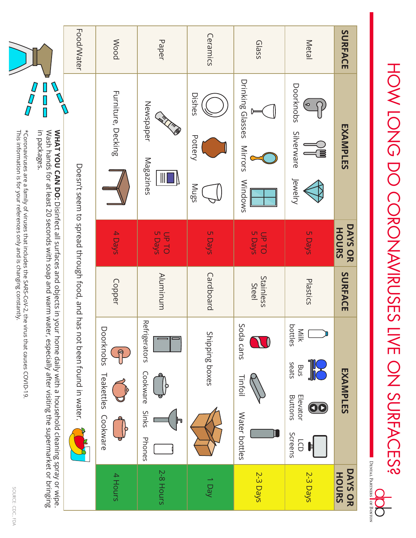

This information is for your references only and is changing constantly. \*Coronaviruses are a family of viruses that includes the SARS-CoV-2, the virus that causes COVID-19  $\cdot$ This information is for your references only and is changing constantly. \*Coronaviruses are a family of viruses that includes the SARS-CoV-2, the virus that causes COVID-19.



HOW LONG DO CORONAVIRUSES LIVE ON SURFACES? HOW LONG DO CORONAVIRUSES LIVE ON SURFACES?bp Dental Partners of Boston **HOW LONG DO CORONAVIRUSES LIVE ON SURFACES?**

 $\overline{\Omega_-}$ 

DENTAL PARTNERS OF BOSTON